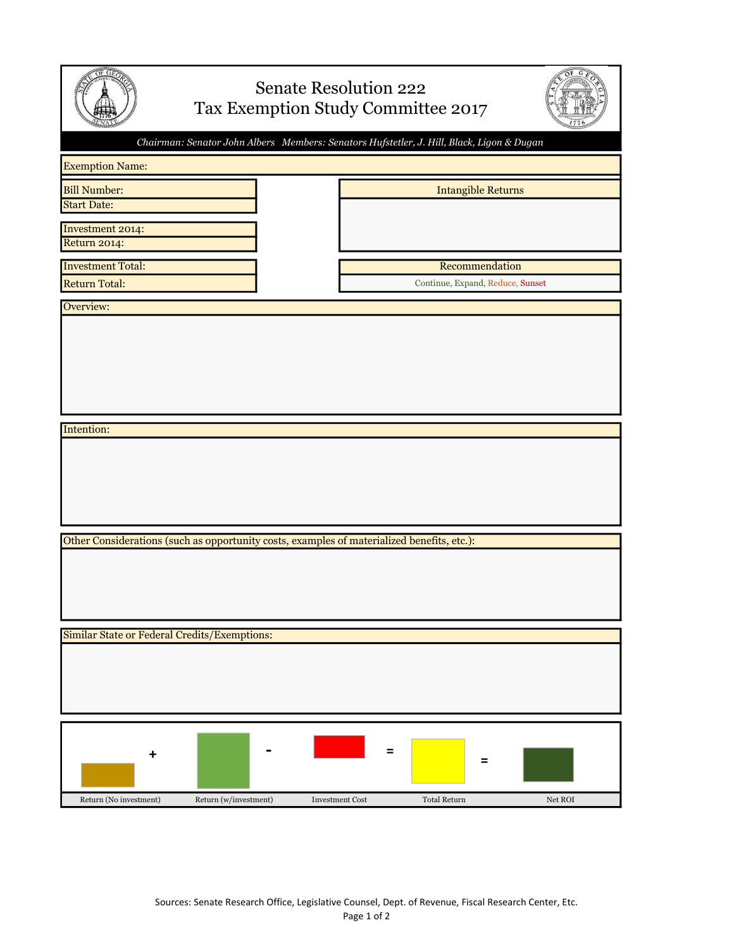| <b>Senate Resolution 222</b><br>Tax Exemption Study Committee 2017 |                                                                                            |                        |                     |                                  |         |
|--------------------------------------------------------------------|--------------------------------------------------------------------------------------------|------------------------|---------------------|----------------------------------|---------|
|                                                                    | Chairman: Senator John Albers Members: Senators Hufstetler, J. Hill, Black, Ligon & Dugan  |                        |                     |                                  |         |
| <b>Exemption Name:</b>                                             |                                                                                            |                        |                     |                                  |         |
| <b>Bill Number:</b><br><b>Start Date:</b>                          |                                                                                            |                        |                     | <b>Intangible Returns</b>        |         |
|                                                                    |                                                                                            |                        |                     |                                  |         |
| Investment 2014:<br>Return 2014:                                   |                                                                                            |                        |                     |                                  |         |
| <b>Investment Total:</b>                                           |                                                                                            |                        |                     | Recommendation                   |         |
| <b>Return Total:</b>                                               |                                                                                            |                        |                     | Continue, Expand, Reduce, Sunset |         |
| Overview:                                                          |                                                                                            |                        |                     |                                  |         |
|                                                                    |                                                                                            |                        |                     |                                  |         |
|                                                                    |                                                                                            |                        |                     |                                  |         |
|                                                                    |                                                                                            |                        |                     |                                  |         |
|                                                                    |                                                                                            |                        |                     |                                  |         |
| Intention:                                                         |                                                                                            |                        |                     |                                  |         |
|                                                                    |                                                                                            |                        |                     |                                  |         |
|                                                                    |                                                                                            |                        |                     |                                  |         |
|                                                                    |                                                                                            |                        |                     |                                  |         |
|                                                                    |                                                                                            |                        |                     |                                  |         |
|                                                                    | Other Considerations (such as opportunity costs, examples of materialized benefits, etc.): |                        |                     |                                  |         |
|                                                                    |                                                                                            |                        |                     |                                  |         |
|                                                                    |                                                                                            |                        |                     |                                  |         |
|                                                                    |                                                                                            |                        |                     |                                  |         |
| Similar State or Federal Credits/Exemptions:                       |                                                                                            |                        |                     |                                  |         |
|                                                                    |                                                                                            |                        |                     |                                  |         |
|                                                                    |                                                                                            |                        |                     |                                  |         |
|                                                                    |                                                                                            |                        |                     |                                  |         |
|                                                                    |                                                                                            |                        |                     |                                  |         |
|                                                                    |                                                                                            |                        | $\equiv$            |                                  |         |
| +                                                                  |                                                                                            |                        |                     | Ξ                                |         |
|                                                                    |                                                                                            |                        |                     |                                  |         |
| Return (No investment)                                             | Return (w/investment)                                                                      | <b>Investment Cost</b> | <b>Total Return</b> |                                  | Net ROI |